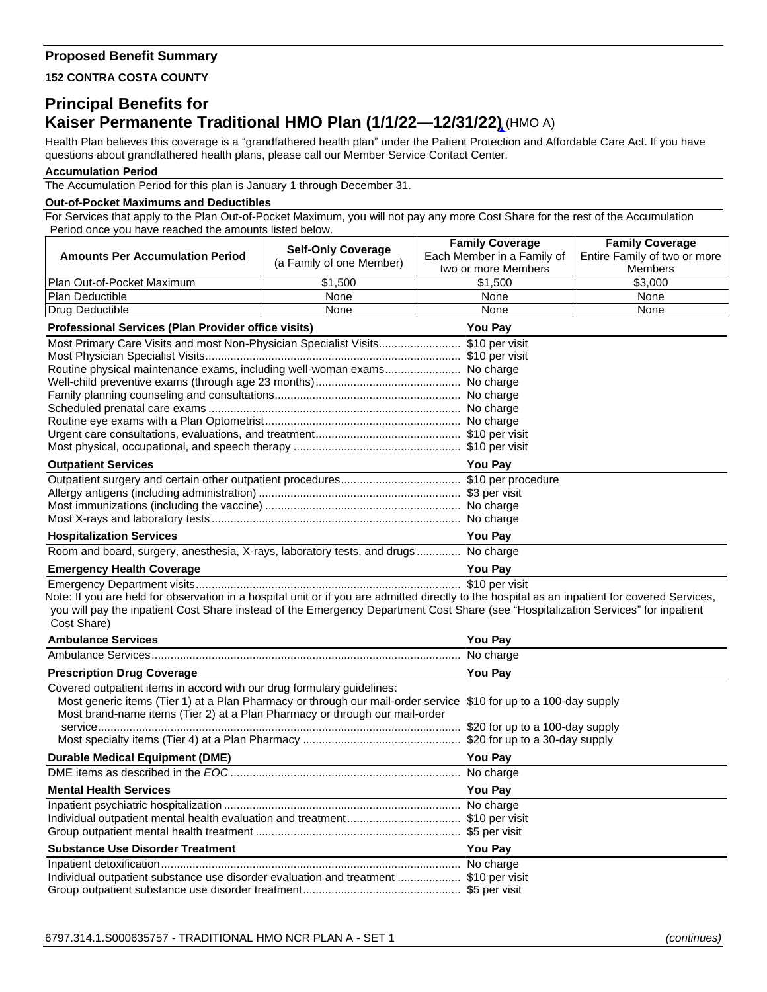## **Proposed Benefit Summary**

**152 CONTRA COSTA COUNTY**

## **Principal Benefits for Kaiser Permanente Traditional HMO Plan (1/1/22—12/31/22)** (HMO A)

Health Plan believes this coverage is a "grandfathered health plan" under the Patient Protection and Affordable Care Act. If you have questions about grandfathered health plans, please call our Member Service Contact Center.

## **Accumulation Period**

The Accumulation Period for this plan is January 1 through December 31.

## **Out-of-Pocket Maximums and Deductibles**

For Services that apply to the Plan Out-of-Pocket Maximum, you will not pay any more Cost Share for the rest of the Accumulation Period once you have reached the amounts listed below.

|                                                                                                                                                | <b>Self-Only Coverage</b> | <b>Family Coverage</b>                            | <b>Family Coverage</b>                  |
|------------------------------------------------------------------------------------------------------------------------------------------------|---------------------------|---------------------------------------------------|-----------------------------------------|
| <b>Amounts Per Accumulation Period</b>                                                                                                         | (a Family of one Member)  | Each Member in a Family of<br>two or more Members | Entire Family of two or more<br>Members |
| Plan Out-of-Pocket Maximum                                                                                                                     | \$1,500                   | \$1,500                                           | \$3,000                                 |
| Plan Deductible                                                                                                                                | None                      | None                                              | None                                    |
| Drug Deductible                                                                                                                                | None                      | None                                              | None                                    |
| Professional Services (Plan Provider office visits)<br>You Pay                                                                                 |                           |                                                   |                                         |
| Most Primary Care Visits and most Non-Physician Specialist Visits \$10 per visit                                                               |                           |                                                   |                                         |
|                                                                                                                                                |                           |                                                   |                                         |
| Routine physical maintenance exams, including well-woman exams No charge                                                                       |                           |                                                   |                                         |
|                                                                                                                                                |                           |                                                   |                                         |
|                                                                                                                                                |                           |                                                   |                                         |
|                                                                                                                                                |                           |                                                   |                                         |
|                                                                                                                                                |                           |                                                   |                                         |
|                                                                                                                                                |                           |                                                   |                                         |
| <b>Outpatient Services</b>                                                                                                                     | <b>You Pay</b>            |                                                   |                                         |
|                                                                                                                                                |                           |                                                   |                                         |
|                                                                                                                                                |                           |                                                   |                                         |
|                                                                                                                                                |                           |                                                   |                                         |
|                                                                                                                                                |                           |                                                   |                                         |
| <b>Hospitalization Services</b>                                                                                                                | <b>You Pay</b>            |                                                   |                                         |
| Room and board, surgery, anesthesia, X-rays, laboratory tests, and drugs  No charge                                                            |                           |                                                   |                                         |
| <b>Emergency Health Coverage</b>                                                                                                               |                           | <b>You Pay</b>                                    |                                         |
|                                                                                                                                                |                           |                                                   |                                         |
| Note: If you are held for observation in a hospital unit or if you are admitted directly to the hospital as an inpatient for covered Services, |                           |                                                   |                                         |
| you will pay the inpatient Cost Share instead of the Emergency Department Cost Share (see "Hospitalization Services" for inpatient             |                           |                                                   |                                         |
| Cost Share)<br><b>Ambulance Services</b>                                                                                                       |                           |                                                   |                                         |
|                                                                                                                                                | <b>You Pay</b>            |                                                   |                                         |
| <b>Prescription Drug Coverage</b>                                                                                                              | You Pay                   |                                                   |                                         |
| Covered outpatient items in accord with our drug formulary guidelines:                                                                         |                           |                                                   |                                         |
| Most generic items (Tier 1) at a Plan Pharmacy or through our mail-order service \$10 for up to a 100-day supply                               |                           |                                                   |                                         |
| Most brand-name items (Tier 2) at a Plan Pharmacy or through our mail-order                                                                    |                           |                                                   |                                         |
|                                                                                                                                                |                           |                                                   |                                         |
|                                                                                                                                                |                           |                                                   |                                         |
| <b>Durable Medical Equipment (DME)</b>                                                                                                         | <b>You Pay</b>            |                                                   |                                         |
|                                                                                                                                                |                           |                                                   |                                         |
| <b>Mental Health Services</b>                                                                                                                  |                           | <b>You Pay</b>                                    |                                         |
|                                                                                                                                                |                           |                                                   |                                         |
|                                                                                                                                                |                           |                                                   |                                         |
|                                                                                                                                                |                           |                                                   |                                         |
| <b>Substance Use Disorder Treatment</b>                                                                                                        |                           | <b>You Pay</b>                                    |                                         |
|                                                                                                                                                |                           |                                                   |                                         |
| Individual outpatient substance use disorder evaluation and treatment  \$10 per visit                                                          |                           |                                                   |                                         |
|                                                                                                                                                |                           |                                                   |                                         |